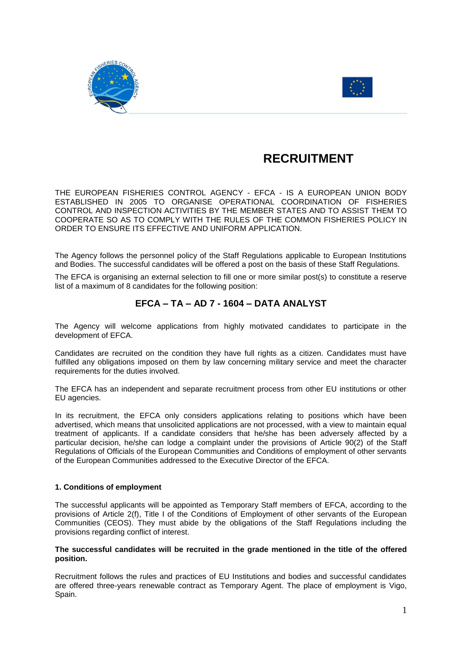



# **RECRUITMENT**

THE EUROPEAN FISHERIES CONTROL AGENCY - EFCA - IS A EUROPEAN UNION BODY ESTABLISHED IN 2005 TO ORGANISE OPERATIONAL COORDINATION OF FISHERIES CONTROL AND INSPECTION ACTIVITIES BY THE MEMBER STATES AND TO ASSIST THEM TO COOPERATE SO AS TO COMPLY WITH THE RULES OF THE COMMON FISHERIES POLICY IN ORDER TO ENSURE ITS EFFECTIVE AND UNIFORM APPLICATION.

The Agency follows the personnel policy of the Staff Regulations applicable to European Institutions and Bodies. The successful candidates will be offered a post on the basis of these Staff Regulations.

The EFCA is organising an external selection to fill one or more similar post(s) to constitute a reserve list of a maximum of 8 candidates for the following position:

# **EFCA – TA – AD 7 - 1604 – DATA ANALYST**

The Agency will welcome applications from highly motivated candidates to participate in the development of EFCA.

Candidates are recruited on the condition they have full rights as a citizen. Candidates must have fulfilled any obligations imposed on them by law concerning military service and meet the character requirements for the duties involved.

The EFCA has an independent and separate recruitment process from other EU institutions or other EU agencies.

In its recruitment, the EFCA only considers applications relating to positions which have been advertised, which means that unsolicited applications are not processed, with a view to maintain equal treatment of applicants. If a candidate considers that he/she has been adversely affected by a particular decision, he/she can lodge a complaint under the provisions of Article 90(2) of the Staff Regulations of Officials of the European Communities and Conditions of employment of other servants of the European Communities addressed to the Executive Director of the EFCA.

# **1. Conditions of employment**

The successful applicants will be appointed as Temporary Staff members of EFCA, according to the provisions of Article 2(f), Title I of the Conditions of Employment of other servants of the European Communities (CEOS). They must abide by the obligations of the Staff Regulations including the provisions regarding conflict of interest.

# **The successful candidates will be recruited in the grade mentioned in the title of the offered position.**

Recruitment follows the rules and practices of EU Institutions and bodies and successful candidates are offered three-years renewable contract as Temporary Agent. The place of employment is Vigo, Spain.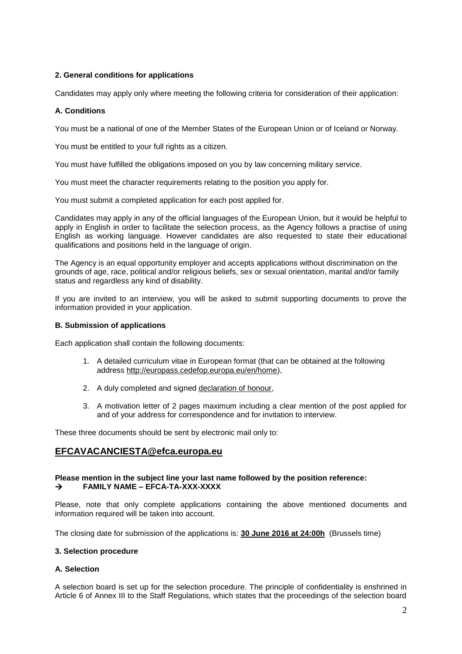# **2. General conditions for applications**

Candidates may apply only where meeting the following criteria for consideration of their application:

# **A. Conditions**

You must be a national of one of the Member States of the European Union or of Iceland or Norway.

You must be entitled to your full rights as a citizen.

You must have fulfilled the obligations imposed on you by law concerning military service.

You must meet the character requirements relating to the position you apply for.

You must submit a completed application for each post applied for.

Candidates may apply in any of the official languages of the European Union, but it would be helpful to apply in English in order to facilitate the selection process, as the Agency follows a practise of using English as working language. However candidates are also requested to state their educational qualifications and positions held in the language of origin.

The Agency is an equal opportunity employer and accepts applications without discrimination on the grounds of age, race, political and/or religious beliefs, sex or sexual orientation, marital and/or family status and regardless any kind of disability.

If you are invited to an interview, you will be asked to submit supporting documents to prove the information provided in your application.

# **B. Submission of applications**

Each application shall contain the following documents:

- 1. A detailed curriculum vitae in European format (that can be obtained at the following address http://europass.cedefop.europa.eu/en/home),
- 2. A duly completed and signed declaration of honour,
- 3. A motivation letter of 2 pages maximum including a clear mention of the post applied for and of your address for correspondence and for invitation to interview.

These three documents should be sent by electronic mail only to:

# **[EFCAVACANCIESTA@efca.europa.eu](mailto:EFCAVACANCIESTA@efca.europa.eu)**

# **Please mention in the subject line your last name followed by the position reference: FAMILY NAME – EFCA-TA-XXX-XXXX**

Please, note that only complete applications containing the above mentioned documents and information required will be taken into account.

The closing date for submission of the applications is: **30 June 2016 at 24:00h** (Brussels time)

# **3. Selection procedure**

# **A. Selection**

A selection board is set up for the selection procedure. The principle of confidentiality is enshrined in Article 6 of Annex III to the Staff Regulations, which states that the proceedings of the selection board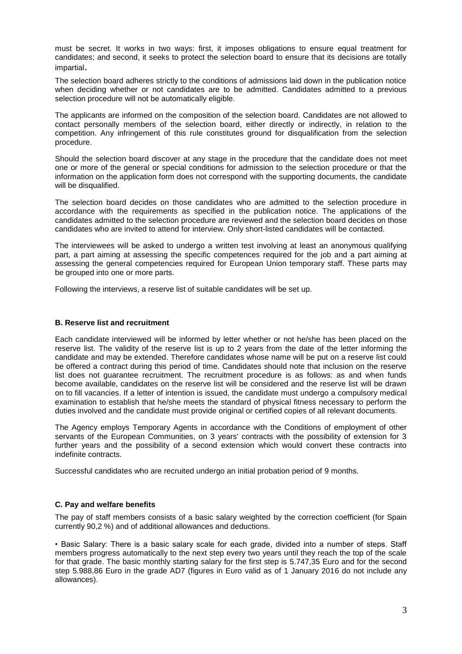must be secret. It works in two ways: first, it imposes obligations to ensure equal treatment for candidates; and second, it seeks to protect the selection board to ensure that its decisions are totally impartial.

The selection board adheres strictly to the conditions of admissions laid down in the publication notice when deciding whether or not candidates are to be admitted. Candidates admitted to a previous selection procedure will not be automatically eligible.

The applicants are informed on the composition of the selection board. Candidates are not allowed to contact personally members of the selection board, either directly or indirectly, in relation to the competition. Any infringement of this rule constitutes ground for disqualification from the selection procedure.

Should the selection board discover at any stage in the procedure that the candidate does not meet one or more of the general or special conditions for admission to the selection procedure or that the information on the application form does not correspond with the supporting documents, the candidate will be disqualified.

The selection board decides on those candidates who are admitted to the selection procedure in accordance with the requirements as specified in the publication notice. The applications of the candidates admitted to the selection procedure are reviewed and the selection board decides on those candidates who are invited to attend for interview. Only short-listed candidates will be contacted.

The interviewees will be asked to undergo a written test involving at least an anonymous qualifying part, a part aiming at assessing the specific competences required for the job and a part aiming at assessing the general competencies required for European Union temporary staff. These parts may be grouped into one or more parts.

Following the interviews, a reserve list of suitable candidates will be set up.

# **B. Reserve list and recruitment**

Each candidate interviewed will be informed by letter whether or not he/she has been placed on the reserve list. The validity of the reserve list is up to 2 years from the date of the letter informing the candidate and may be extended. Therefore candidates whose name will be put on a reserve list could be offered a contract during this period of time. Candidates should note that inclusion on the reserve list does not guarantee recruitment. The recruitment procedure is as follows: as and when funds become available, candidates on the reserve list will be considered and the reserve list will be drawn on to fill vacancies. If a letter of intention is issued, the candidate must undergo a compulsory medical examination to establish that he/she meets the standard of physical fitness necessary to perform the duties involved and the candidate must provide original or certified copies of all relevant documents.

The Agency employs Temporary Agents in accordance with the Conditions of employment of other servants of the European Communities, on 3 years' contracts with the possibility of extension for 3 further years and the possibility of a second extension which would convert these contracts into indefinite contracts.

Successful candidates who are recruited undergo an initial probation period of 9 months.

# **C. Pay and welfare benefits**

The pay of staff members consists of a basic salary weighted by the correction coefficient (for Spain currently 90,2 %) and of additional allowances and deductions.

• Basic Salary: There is a basic salary scale for each grade, divided into a number of steps. Staff members progress automatically to the next step every two years until they reach the top of the scale for that grade. The basic monthly starting salary for the first step is 5.747,35 Euro and for the second step 5.988,86 Euro in the grade AD7 (figures in Euro valid as of 1 January 2016 do not include any allowances).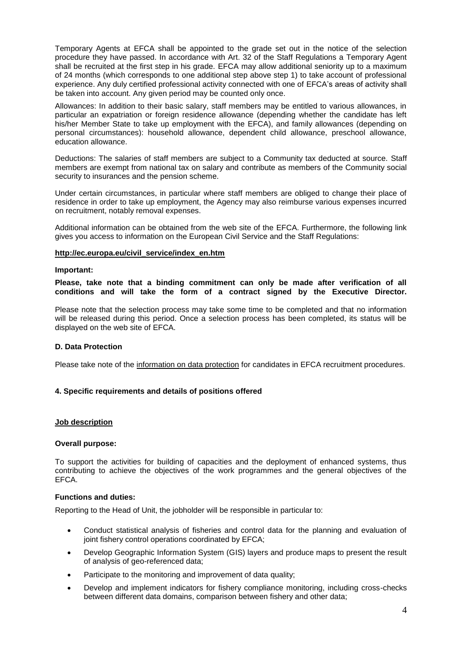Temporary Agents at EFCA shall be appointed to the grade set out in the notice of the selection procedure they have passed. In accordance with Art. 32 of the Staff Regulations a Temporary Agent shall be recruited at the first step in his grade. EFCA may allow additional seniority up to a maximum of 24 months (which corresponds to one additional step above step 1) to take account of professional experience. Any duly certified professional activity connected with one of EFCA's areas of activity shall be taken into account. Any given period may be counted only once.

Allowances: In addition to their basic salary, staff members may be entitled to various allowances, in particular an expatriation or foreign residence allowance (depending whether the candidate has left his/her Member State to take up employment with the EFCA), and family allowances (depending on personal circumstances): household allowance, dependent child allowance, preschool allowance, education allowance.

Deductions: The salaries of staff members are subject to a Community tax deducted at source. Staff members are exempt from national tax on salary and contribute as members of the Community social security to insurances and the pension scheme.

Under certain circumstances, in particular where staff members are obliged to change their place of residence in order to take up employment, the Agency may also reimburse various expenses incurred on recruitment, notably removal expenses.

Additional information can be obtained from the web site of the EFCA. Furthermore, the following link gives you access to information on the European Civil Service and the Staff Regulations:

# **http://ec.europa.eu/civil\_service/index\_en.htm**

#### **Important:**

**Please, take note that a binding commitment can only be made after verification of all conditions and will take the form of a contract signed by the Executive Director.**

Please note that the selection process may take some time to be completed and that no information will be released during this period. Once a selection process has been completed, its status will be displayed on the web site of EFCA.

# **D. Data Protection**

Please take note of the information on data protection for candidates in EFCA recruitment procedures.

# **4. Specific requirements and details of positions offered**

# **Job description**

# **Overall purpose:**

To support the activities for building of capacities and the deployment of enhanced systems, thus contributing to achieve the objectives of the work programmes and the general objectives of the EFCA.

# **Functions and duties:**

Reporting to the Head of Unit, the jobholder will be responsible in particular to:

- Conduct statistical analysis of fisheries and control data for the planning and evaluation of joint fishery control operations coordinated by EFCA;
- Develop Geographic Information System (GIS) layers and produce maps to present the result of analysis of geo-referenced data;
- Participate to the monitoring and improvement of data quality;
- Develop and implement indicators for fishery compliance monitoring, including cross-checks between different data domains, comparison between fishery and other data;